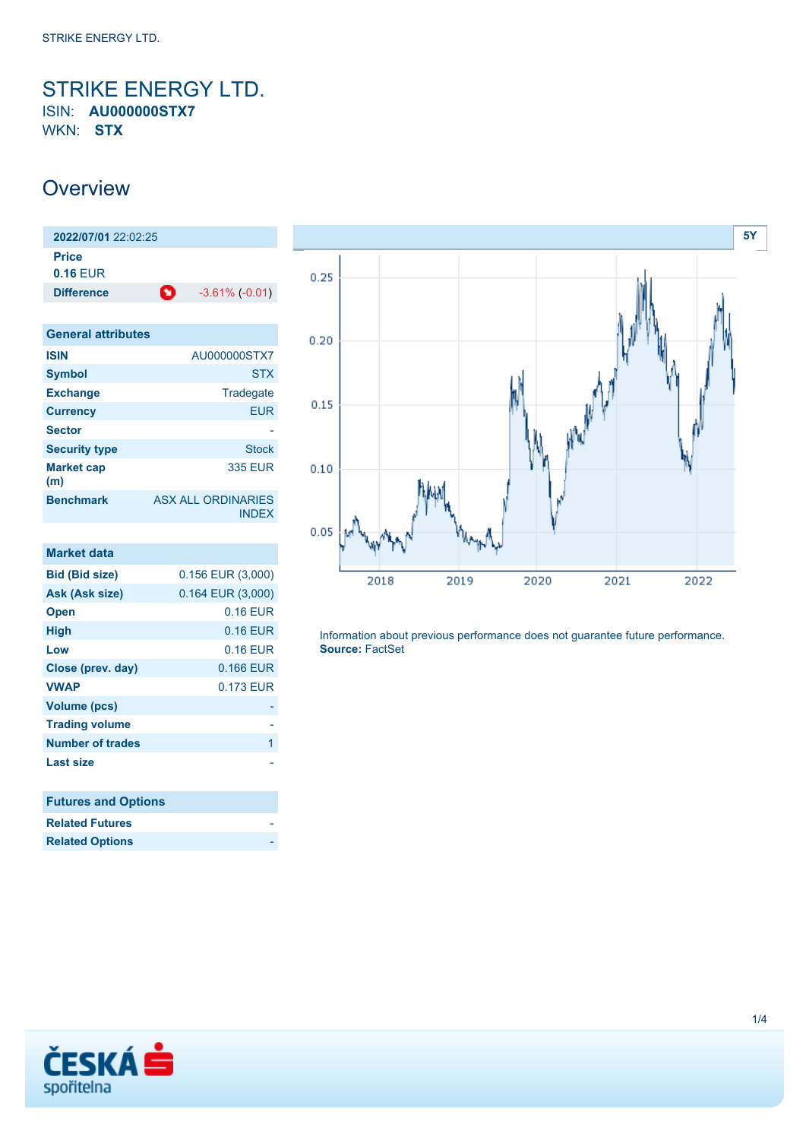### <span id="page-0-0"></span>STRIKE ENERGY LTD. ISIN: **AU000000STX7** WKN: **STX**

## **Overview**

**2022/07/01** 22:02:25 **Price 0.16** EUR **Difference 1** -3.61% (-0.01)

| <b>General attributes</b> |                                           |
|---------------------------|-------------------------------------------|
| <b>ISIN</b>               | AU000000STX7                              |
| <b>Symbol</b>             | <b>STX</b>                                |
| <b>Exchange</b>           | Tradegate                                 |
| <b>Currency</b>           | <b>EUR</b>                                |
| <b>Sector</b>             |                                           |
| <b>Security type</b>      | <b>Stock</b>                              |
| <b>Market cap</b><br>(m)  | <b>335 EUR</b>                            |
| <b>Benchmark</b>          | <b>ASX ALL ORDINARIES</b><br><b>INDFX</b> |

| <b>Market data</b>         |                       |
|----------------------------|-----------------------|
| <b>Bid (Bid size)</b>      | $0.156$ EUR $(3,000)$ |
| Ask (Ask size)             | 0.164 EUR (3,000)     |
| <b>Open</b>                | 0.16 EUR              |
| <b>High</b>                | 0.16 EUR              |
| Low                        | 0.16 EUR              |
| Close (prev. day)          | 0.166 EUR             |
| <b>VWAP</b>                | 0.173 EUR             |
| <b>Volume (pcs)</b>        |                       |
| <b>Trading volume</b>      |                       |
| <b>Number of trades</b>    | 1                     |
| <b>Last size</b>           |                       |
| <b>Futures and Options</b> |                       |
| <b>Related Futures</b>     |                       |
| <b>Related Options</b>     |                       |



Information about previous performance does not guarantee future performance. **Source:** FactSet

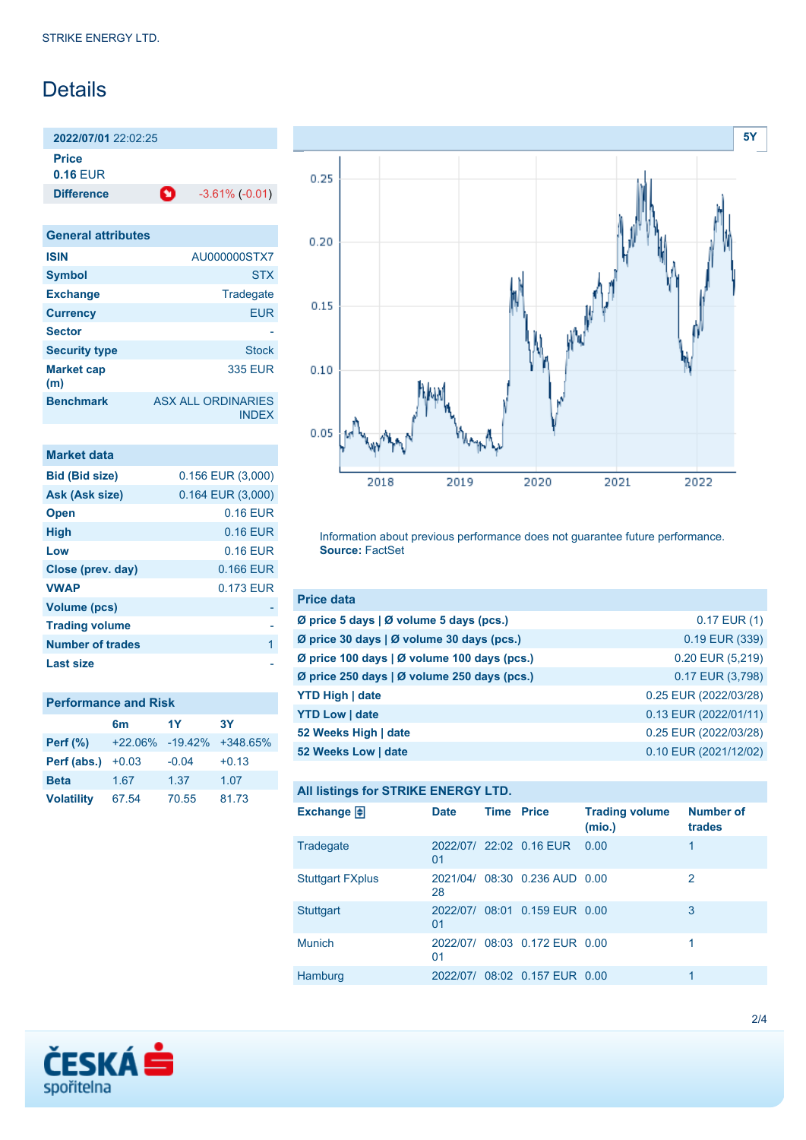## Details

**2022/07/01** 22:02:25 **Price**

**0.16** EUR

**Difference 1** -3.61% (-0.01)

| <b>General attributes</b> |                                           |
|---------------------------|-------------------------------------------|
| <b>ISIN</b>               | AU000000STX7                              |
| <b>Symbol</b>             | <b>STX</b>                                |
| <b>Exchange</b>           | Tradegate                                 |
| <b>Currency</b>           | <b>EUR</b>                                |
| <b>Sector</b>             |                                           |
| <b>Security type</b>      | Stock                                     |
| <b>Market cap</b><br>(m)  | <b>335 EUR</b>                            |
| <b>Benchmark</b>          | <b>ASX ALL ORDINARIES</b><br><b>INDEX</b> |

| <b>Market data</b>    |                       |
|-----------------------|-----------------------|
| <b>Bid (Bid size)</b> | $0.156$ EUR $(3,000)$ |
| Ask (Ask size)        | $0.164$ EUR $(3,000)$ |
| <b>Open</b>           | 0.16 EUR              |
| <b>High</b>           | 0.16 EUR              |
| Low                   | $0.16$ EUR            |
| Close (prev. day)     | 0.166 EUR             |
| <b>VWAP</b>           | 0.173 EUR             |
| <b>Volume (pcs)</b>   |                       |
| <b>Trading volume</b> |                       |
| Number of trades      | 1                     |
| Last size             |                       |

| <b>Performance and Risk</b> |                 |         |            |  |  |  |
|-----------------------------|-----------------|---------|------------|--|--|--|
|                             | 6m              | 1Y      | 3Y         |  |  |  |
| <b>Perf</b> (%)             | +22.06% -19.42% |         | $+348.65%$ |  |  |  |
| Perf (abs.)                 | $+0.03$         | $-0.04$ | $+0.13$    |  |  |  |
| <b>Beta</b>                 | 1.67            | 1.37    | 1.07       |  |  |  |
| <b>Volatility</b>           | 67.54           | 70.55   | 81.73      |  |  |  |



Information about previous performance does not guarantee future performance. **Source:** FactSet

| <b>Price data</b>                           |                       |
|---------------------------------------------|-----------------------|
| Ø price 5 days   Ø volume 5 days (pcs.)     | $0.17$ EUR $(1)$      |
| Ø price 30 days   Ø volume 30 days (pcs.)   | 0.19 EUR (339)        |
| Ø price 100 days   Ø volume 100 days (pcs.) | $0.20$ EUR $(5,219)$  |
| Ø price 250 days   Ø volume 250 days (pcs.) | 0.17 EUR (3,798)      |
| <b>YTD High   date</b>                      | 0.25 EUR (2022/03/28) |
| <b>YTD Low   date</b>                       | 0.13 EUR (2022/01/11) |
| 52 Weeks High   date                        | 0.25 EUR (2022/03/28) |
| 52 Weeks Low   date                         | 0.10 EUR (2021/12/02) |

#### **All listings for STRIKE ENERGY LTD.**

| Exchange $\bigoplus$    | <b>Date</b> | <b>Time Price</b> |                               | <b>Trading volume</b><br>(mio.) | <b>Number of</b><br>trades |
|-------------------------|-------------|-------------------|-------------------------------|---------------------------------|----------------------------|
| Tradegate               | 01          |                   | 2022/07/ 22:02 0.16 EUR 0.00  |                                 | 1                          |
| <b>Stuttgart FXplus</b> | 28          |                   | 2021/04/ 08:30 0.236 AUD 0.00 |                                 | 2                          |
| <b>Stuttgart</b>        | 01          |                   | 2022/07/ 08:01 0.159 EUR 0.00 |                                 | 3                          |
| <b>Munich</b>           | 01          |                   | 2022/07/ 08:03 0.172 EUR 0.00 |                                 |                            |
| Hamburg                 |             |                   | 2022/07/ 08:02 0.157 EUR 0.00 |                                 | 1                          |

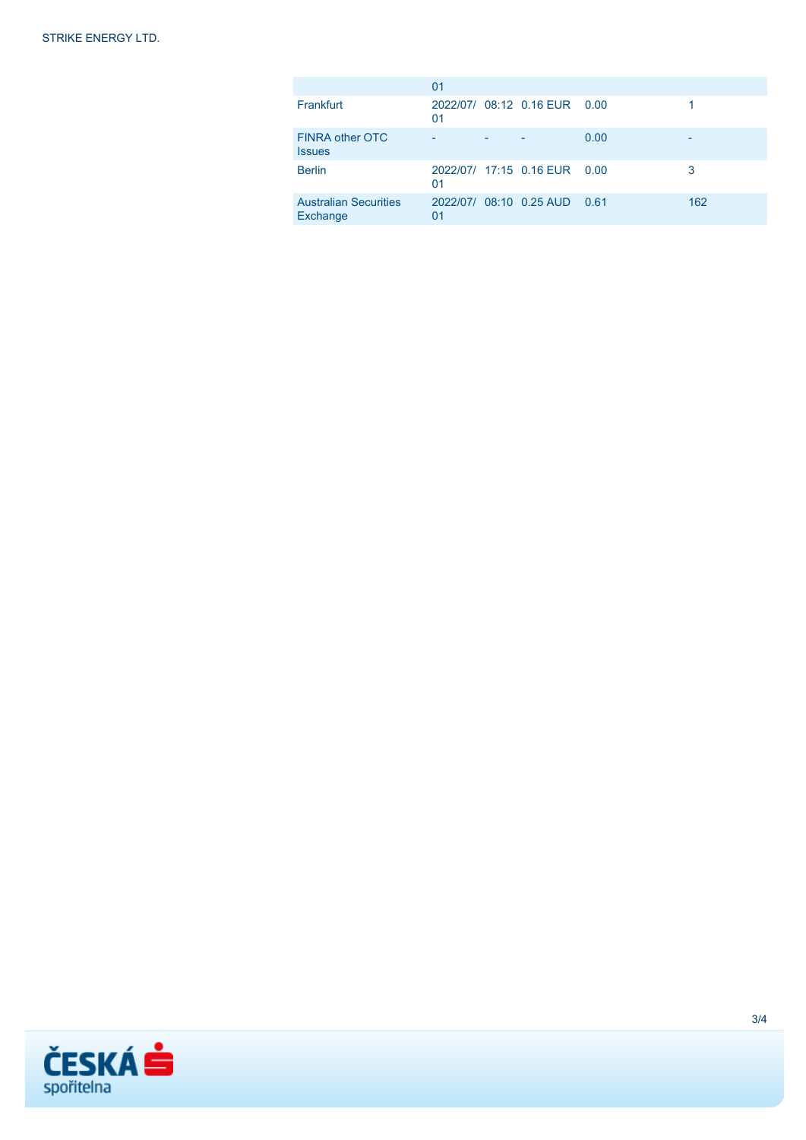|                                          | 01 |                              |      |     |
|------------------------------------------|----|------------------------------|------|-----|
| Frankfurt                                | 01 | 2022/07/ 08:12 0.16 EUR 0.00 |      |     |
| FINRA other OTC<br><b>Issues</b>         |    |                              | 0.00 | -   |
| <b>Berlin</b>                            | 01 | 2022/07/ 17:15 0.16 EUR 0.00 |      | 3   |
| <b>Australian Securities</b><br>Exchange | 01 | 2022/07/ 08:10 0.25 AUD 0.61 |      | 162 |